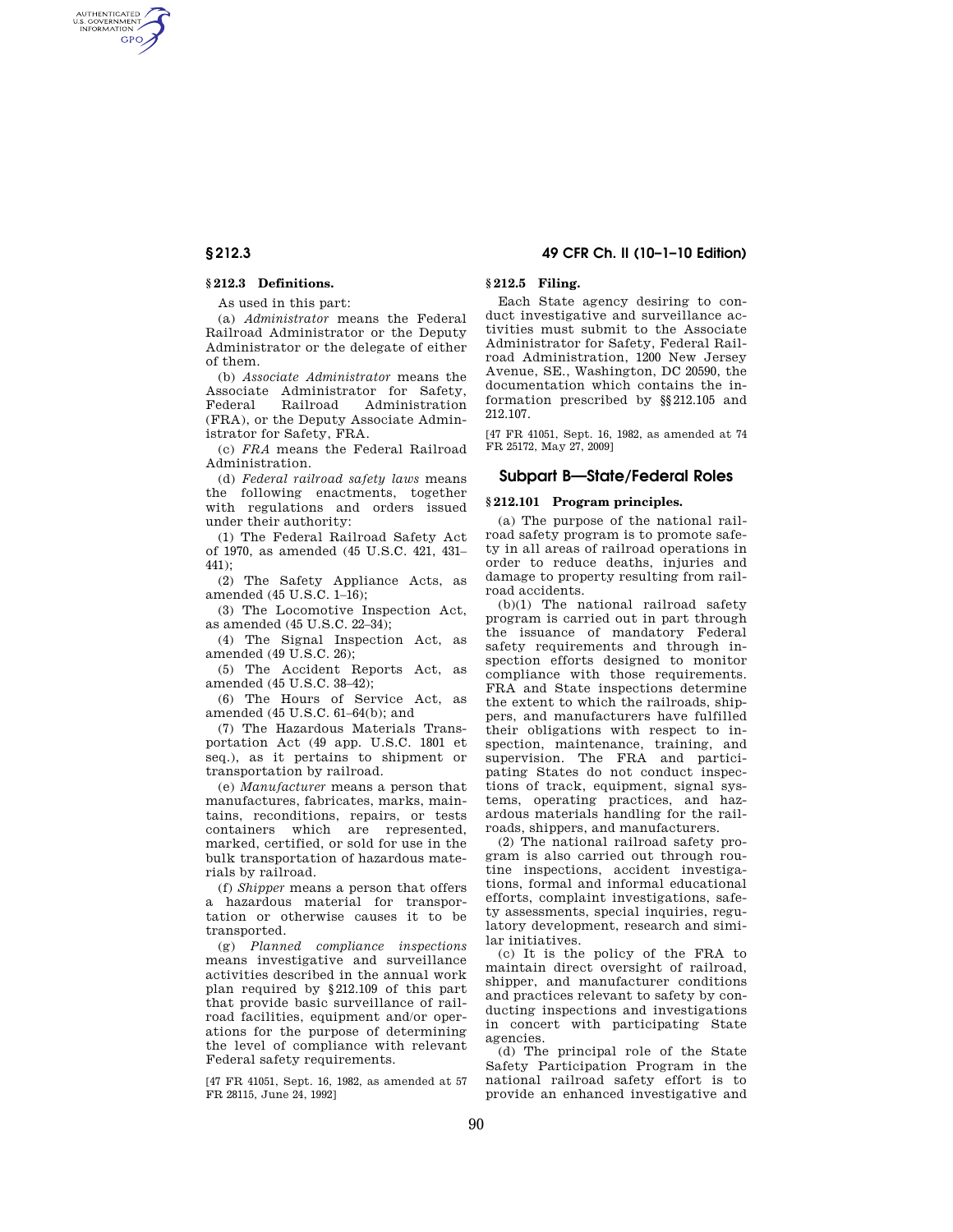AUTHENTICATED<br>U.S. GOVERNMENT<br>INFORMATION **GPO** 

## **§ 212.3 Definitions.**

As used in this part:

(a) *Administrator* means the Federal Railroad Administrator or the Deputy Administrator or the delegate of either of them.

(b) *Associate Administrator* means the Associate Administrator for Safety, Federal Railroad Administration (FRA), or the Deputy Associate Administrator for Safety, FRA.

(c) *FRA* means the Federal Railroad Administration.

(d) *Federal railroad safety laws* means the following enactments, together with regulations and orders issued under their authority:

(1) The Federal Railroad Safety Act of 1970, as amended (45 U.S.C. 421, 431– 441);

(2) The Safety Appliance Acts, as amended (45 U.S.C. 1–16);

(3) The Locomotive Inspection Act, as amended (45 U.S.C. 22–34);

(4) The Signal Inspection Act, as amended (49 U.S.C. 26);

(5) The Accident Reports Act, as amended (45 U.S.C. 38–42);

(6) The Hours of Service Act, as amended (45 U.S.C. 61–64(b); and

(7) The Hazardous Materials Transportation Act (49 app. U.S.C. 1801 et seq.), as it pertains to shipment or transportation by railroad.

(e) *Manufacturer* means a person that manufactures, fabricates, marks, maintains, reconditions, repairs, or tests containers which are represented, marked, certified, or sold for use in the bulk transportation of hazardous materials by railroad.

(f) *Shipper* means a person that offers a hazardous material for transportation or otherwise causes it to be transported.

(g) *Planned compliance inspections*  means investigative and surveillance activities described in the annual work plan required by §212.109 of this part that provide basic surveillance of railroad facilities, equipment and/or operations for the purpose of determining the level of compliance with relevant Federal safety requirements.

[47 FR 41051, Sept. 16, 1982, as amended at 57 FR 28115, June 24, 1992]

## **§ 212.3 49 CFR Ch. II (10–1–10 Edition)**

## **§ 212.5 Filing.**

Each State agency desiring to conduct investigative and surveillance activities must submit to the Associate Administrator for Safety, Federal Railroad Administration, 1200 New Jersey Avenue, SE., Washington, DC 20590, the documentation which contains the information prescribed by §§212.105 and 212.107.

[47 FR 41051, Sept. 16, 1982, as amended at 74 FR 25172, May 27, 2009]

#### **Subpart B—State/Federal Roles**

## **§ 212.101 Program principles.**

(a) The purpose of the national railroad safety program is to promote safety in all areas of railroad operations in order to reduce deaths, injuries and damage to property resulting from railroad accidents.

(b)(1) The national railroad safety program is carried out in part through the issuance of mandatory Federal safety requirements and through inspection efforts designed to monitor compliance with those requirements. FRA and State inspections determine the extent to which the railroads, shippers, and manufacturers have fulfilled their obligations with respect to inspection, maintenance, training, and supervision. The FRA and participating States do not conduct inspections of track, equipment, signal systems, operating practices, and hazardous materials handling for the railroads, shippers, and manufacturers.

(2) The national railroad safety program is also carried out through routine inspections, accident investigations, formal and informal educational efforts, complaint investigations, safety assessments, special inquiries, regulatory development, research and similar initiatives.

(c) It is the policy of the FRA to maintain direct oversight of railroad, shipper, and manufacturer conditions and practices relevant to safety by conducting inspections and investigations in concert with participating State agencies.

(d) The principal role of the State Safety Participation Program in the national railroad safety effort is to provide an enhanced investigative and